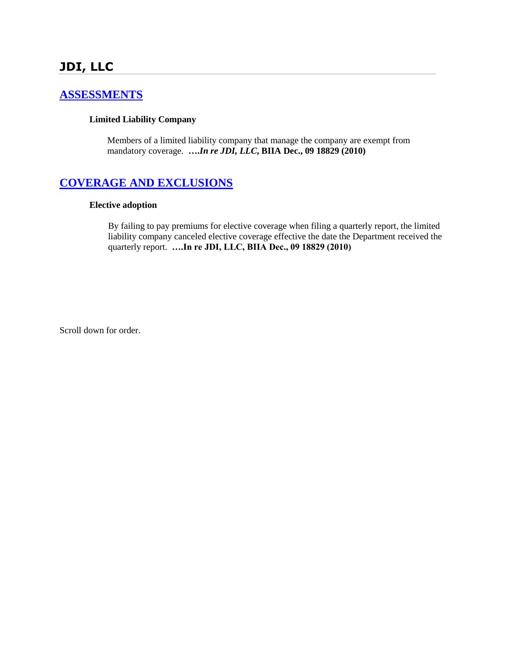# **JDI, LLC**

#### **[ASSESSMENTS](http://www.biia.wa.gov/SDSubjectIndex.html#ASSESSMENTS)**

#### **Limited Liability Company**

Members of a limited liability company that manage the company are exempt from mandatory coverage. **….***In re JDI, LLC***, BIIA Dec., 09 18829 (2010)**

#### **[COVERAGE AND EXCLUSIONS](http://www.biia.wa.gov/SDSubjectIndex.html#COVERAGE_AND_EXCLUSIONS)**

#### **Elective adoption**

By failing to pay premiums for elective coverage when filing a quarterly report, the limited liability company canceled elective coverage effective the date the Department received the quarterly report. **….In re JDI, LLC, BIIA Dec., 09 18829 (2010)**

Scroll down for order.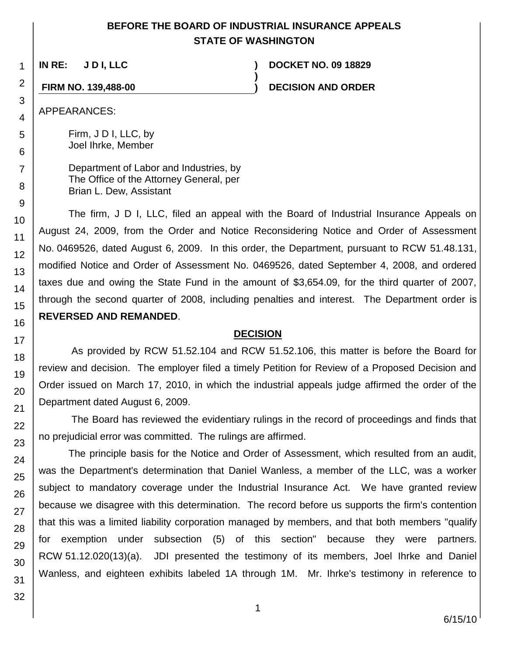## **BEFORE THE BOARD OF INDUSTRIAL INSURANCE APPEALS STATE OF WASHINGTON**

**)**

**IN RE: J D I, LLC ) DOCKET NO. 09 18829**

**FIRM NO. 139,488-00 ) DECISION AND ORDER**

APPEARANCES:

Firm, J D I, LLC, by Joel Ihrke, Member

Department of Labor and Industries, by The Office of the Attorney General, per Brian L. Dew, Assistant

The firm, J D I, LLC, filed an appeal with the Board of Industrial Insurance Appeals on August 24, 2009, from the Order and Notice Reconsidering Notice and Order of Assessment No. 0469526, dated August 6, 2009. In this order, the Department, pursuant to RCW 51.48.131, modified Notice and Order of Assessment No. 0469526, dated September 4, 2008, and ordered taxes due and owing the State Fund in the amount of \$3,654.09, for the third quarter of 2007, through the second quarter of 2008, including penalties and interest. The Department order is **REVERSED AND REMANDED**.

#### **DECISION**

As provided by RCW 51.52.104 and RCW 51.52.106, this matter is before the Board for review and decision. The employer filed a timely Petition for Review of a Proposed Decision and Order issued on March 17, 2010, in which the industrial appeals judge affirmed the order of the Department dated August 6, 2009.

The Board has reviewed the evidentiary rulings in the record of proceedings and finds that no prejudicial error was committed. The rulings are affirmed.

The principle basis for the Notice and Order of Assessment, which resulted from an audit, was the Department's determination that Daniel Wanless, a member of the LLC, was a worker subject to mandatory coverage under the Industrial Insurance Act. We have granted review because we disagree with this determination. The record before us supports the firm's contention that this was a limited liability corporation managed by members, and that both members "qualify for exemption under subsection (5) of this section" because they were partners. RCW 51.12.020(13)(a). JDI presented the testimony of its members, Joel Ihrke and Daniel Wanless, and eighteen exhibits labeled 1A through 1M. Mr. Ihrke's testimony in reference to

1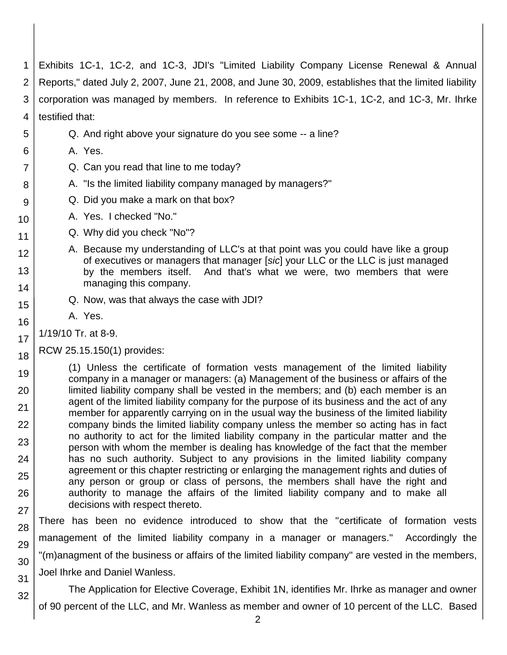1 2 3 4 5 6 7 8 Exhibits 1C-1, 1C-2, and 1C-3, JDI's "Limited Liability Company License Renewal & Annual Reports," dated July 2, 2007, June 21, 2008, and June 30, 2009, establishes that the limited liability corporation was managed by members. In reference to Exhibits 1C-1, 1C-2, and 1C-3, Mr. Ihrke testified that: Q. And right above your signature do you see some -- a line? A. Yes. Q. Can you read that line to me today? A. "Is the limited liability company managed by managers?"

- Q. Did you make a mark on that box?
- A. Yes. I checked "No."
	- Q. Why did you check "No"?
	- A. Because my understanding of LLC's at that point was you could have like a group of executives or managers that manager [*sic*] your LLC or the LLC is just managed by the members itself. And that's what we were, two members that were managing this company.
	- Q. Now, was that always the case with JDI?
	- A. Yes.

1/19/10 Tr. at 8-9.

9

10

11

12

13

14

15

16

17

18

32

RCW 25.15.150(1) provides:

19 20 21 22 23 24 25 26 27 (1) Unless the certificate of formation vests management of the limited liability company in a manager or managers: (a) Management of the business or affairs of the limited liability company shall be vested in the members; and (b) each member is an agent of the limited liability company for the purpose of its business and the act of any member for apparently carrying on in the usual way the business of the limited liability company binds the limited liability company unless the member so acting has in fact no authority to act for the limited liability company in the particular matter and the person with whom the member is dealing has knowledge of the fact that the member has no such authority. Subject to any provisions in the limited liability company agreement or this chapter restricting or enlarging the management rights and duties of any person or group or class of persons, the members shall have the right and authority to manage the affairs of the limited liability company and to make all decisions with respect thereto.

28 29 30 31 There has been no evidence introduced to show that the "certificate of formation vests management of the limited liability company in a manager or managers." Accordingly the "(m)anagment of the business or affairs of the limited liability company" are vested in the members, Joel Ihrke and Daniel Wanless.

The Application for Elective Coverage, Exhibit 1N, identifies Mr. Ihrke as manager and owner of 90 percent of the LLC, and Mr. Wanless as member and owner of 10 percent of the LLC. Based

2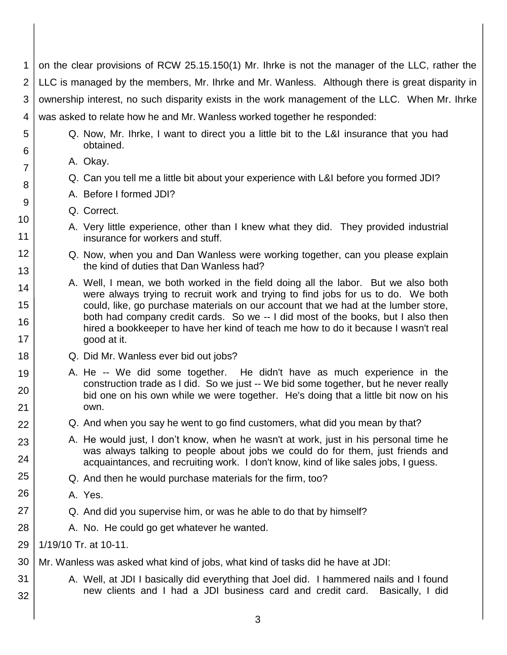1 2 3 4 5 6 7 on the clear provisions of RCW 25.15.150(1) Mr. Ihrke is not the manager of the LLC, rather the LLC is managed by the members, Mr. Ihrke and Mr. Wanless. Although there is great disparity in ownership interest, no such disparity exists in the work management of the LLC. When Mr. Ihrke was asked to relate how he and Mr. Wanless worked together he responded: Q. Now, Mr. Ihrke, I want to direct you a little bit to the L&I insurance that you had obtained.

A. Okay.

8

9

10

11

12

13

14

15

16

17 18

19

20

21 22

23

24

25

26

27

28

31

32

- Q. Can you tell me a little bit about your experience with L&I before you formed JDI?
- A. Before I formed JDI?
- Q. Correct.
- A. Very little experience, other than I knew what they did. They provided industrial insurance for workers and stuff.
- Q. Now, when you and Dan Wanless were working together, can you please explain the kind of duties that Dan Wanless had?
- A. Well, I mean, we both worked in the field doing all the labor. But we also both were always trying to recruit work and trying to find jobs for us to do. We both could, like, go purchase materials on our account that we had at the lumber store, both had company credit cards. So we -- I did most of the books, but I also then hired a bookkeeper to have her kind of teach me how to do it because I wasn't real good at it.
- Q. Did Mr. Wanless ever bid out jobs?
- A. He -- We did some together. He didn't have as much experience in the construction trade as I did. So we just -- We bid some together, but he never really bid one on his own while we were together. He's doing that a little bit now on his own.
- Q. And when you say he went to go find customers, what did you mean by that?
- A. He would just, I don't know, when he wasn't at work, just in his personal time he was always talking to people about jobs we could do for them, just friends and acquaintances, and recruiting work. I don't know, kind of like sales jobs, I guess.
- Q. And then he would purchase materials for the firm, too?
	- A. Yes.
- Q. And did you supervise him, or was he able to do that by himself?
	- A. No. He could go get whatever he wanted.
- 29 1/19/10 Tr. at 10-11.
- 30 Mr. Wanless was asked what kind of jobs, what kind of tasks did he have at JDI:
	- A. Well, at JDI I basically did everything that Joel did. I hammered nails and I found new clients and I had a JDI business card and credit card. Basically, I did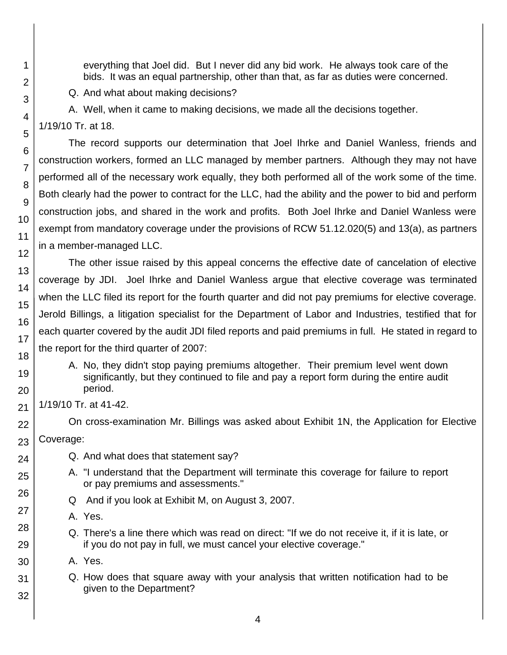everything that Joel did. But I never did any bid work. He always took care of the bids. It was an equal partnership, other than that, as far as duties were concerned.

Q. And what about making decisions?

A. Well, when it came to making decisions, we made all the decisions together.

1/19/10 Tr. at 18.

1

2

3

4

5

6

7

8

9

10

11

12

13

14

15

16

17 18

19

20

21

22

23

24

25

26

27

28

29 30

31

32

The record supports our determination that Joel Ihrke and Daniel Wanless, friends and construction workers, formed an LLC managed by member partners. Although they may not have performed all of the necessary work equally, they both performed all of the work some of the time. Both clearly had the power to contract for the LLC, had the ability and the power to bid and perform construction jobs, and shared in the work and profits. Both Joel Ihrke and Daniel Wanless were exempt from mandatory coverage under the provisions of RCW 51.12.020(5) and 13(a), as partners in a member-managed LLC.

The other issue raised by this appeal concerns the effective date of cancelation of elective coverage by JDI. Joel Ihrke and Daniel Wanless argue that elective coverage was terminated when the LLC filed its report for the fourth quarter and did not pay premiums for elective coverage. Jerold Billings, a litigation specialist for the Department of Labor and Industries, testified that for each quarter covered by the audit JDI filed reports and paid premiums in full. He stated in regard to the report for the third quarter of 2007:

A. No, they didn't stop paying premiums altogether. Their premium level went down significantly, but they continued to file and pay a report form during the entire audit period.

1/19/10 Tr. at 41-42.

On cross-examination Mr. Billings was asked about Exhibit 1N, the Application for Elective Coverage:

- Q. And what does that statement say?
- A. "I understand that the Department will terminate this coverage for failure to report or pay premiums and assessments."
- Q And if you look at Exhibit M, on August 3, 2007.
- A. Yes.
- Q. There's a line there which was read on direct: "If we do not receive it, if it is late, or if you do not pay in full, we must cancel your elective coverage."
- A. Yes.
- Q. How does that square away with your analysis that written notification had to be given to the Department?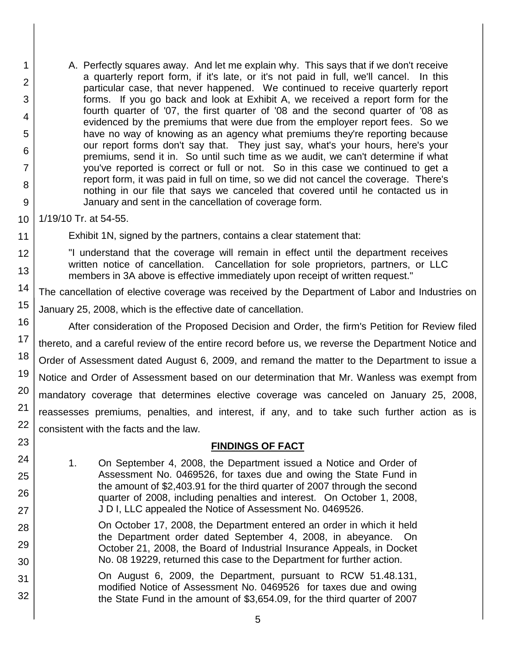1 2 3 4 5 6 7 8 9 A. Perfectly squares away. And let me explain why. This says that if we don't receive a quarterly report form, if it's late, or it's not paid in full, we'll cancel. In this particular case, that never happened. We continued to receive quarterly report forms. If you go back and look at Exhibit A, we received a report form for the fourth quarter of '07, the first quarter of '08 and the second quarter of '08 as evidenced by the premiums that were due from the employer report fees. So we have no way of knowing as an agency what premiums they're reporting because our report forms don't say that. They just say, what's your hours, here's your premiums, send it in. So until such time as we audit, we can't determine if what you've reported is correct or full or not. So in this case we continued to get a report form, it was paid in full on time, so we did not cancel the coverage. There's nothing in our file that says we canceled that covered until he contacted us in January and sent in the cancellation of coverage form.

10 1/19/10 Tr. at 54-55.

11

23

24

25

26

27

28

29

30

31

32

Exhibit 1N, signed by the partners, contains a clear statement that:

12 13 "I understand that the coverage will remain in effect until the department receives written notice of cancellation. Cancellation for sole proprietors, partners, or LLC members in 3A above is effective immediately upon receipt of written request."

14 The cancellation of elective coverage was received by the Department of Labor and Industries on

15 January 25, 2008, which is the effective date of cancellation.

16 17 18 19 20 21 22 After consideration of the Proposed Decision and Order, the firm's Petition for Review filed thereto, and a careful review of the entire record before us, we reverse the Department Notice and Order of Assessment dated August 6, 2009, and remand the matter to the Department to issue a Notice and Order of Assessment based on our determination that Mr. Wanless was exempt from mandatory coverage that determines elective coverage was canceled on January 25, 2008, reassesses premiums, penalties, and interest, if any, and to take such further action as is consistent with the facts and the law.

## **FINDINGS OF FACT**

1. On September 4, 2008, the Department issued a Notice and Order of Assessment No. 0469526, for taxes due and owing the State Fund in the amount of \$2,403.91 for the third quarter of 2007 through the second quarter of 2008, including penalties and interest. On October 1, 2008, J D I, LLC appealed the Notice of Assessment No. 0469526.

On October 17, 2008, the Department entered an order in which it held the Department order dated September 4, 2008, in abeyance. On October 21, 2008, the Board of Industrial Insurance Appeals, in Docket No. 08 19229, returned this case to the Department for further action.

On August 6, 2009, the Department, pursuant to RCW 51.48.131, modified Notice of Assessment No. 0469526 for taxes due and owing the State Fund in the amount of \$3,654.09, for the third quarter of 2007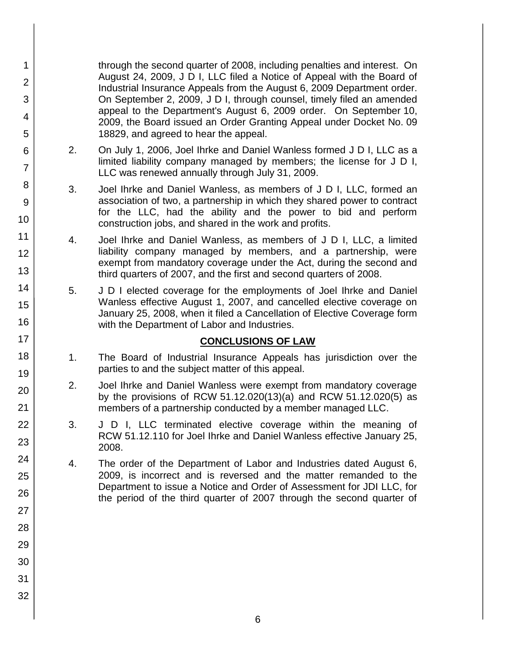through the second quarter of 2008, including penalties and interest. On August 24, 2009, J D I, LLC filed a Notice of Appeal with the Board of Industrial Insurance Appeals from the August 6, 2009 Department order. On September 2, 2009, J D I, through counsel, timely filed an amended appeal to the Department's August 6, 2009 order. On September 10, 2009, the Board issued an Order Granting Appeal under Docket No. 09 18829, and agreed to hear the appeal.

- 2. On July 1, 2006, Joel Ihrke and Daniel Wanless formed J D I, LLC as a limited liability company managed by members; the license for J D I, LLC was renewed annually through July 31, 2009.
- 3. Joel Ihrke and Daniel Wanless, as members of J D I, LLC, formed an association of two, a partnership in which they shared power to contract for the LLC, had the ability and the power to bid and perform construction jobs, and shared in the work and profits.
- 4. Joel Ihrke and Daniel Wanless, as members of J D I, LLC, a limited liability company managed by members, and a partnership, were exempt from mandatory coverage under the Act, during the second and third quarters of 2007, and the first and second quarters of 2008.
- 5. J D I elected coverage for the employments of Joel Ihrke and Daniel Wanless effective August 1, 2007, and cancelled elective coverage on January 25, 2008, when it filed a Cancellation of Elective Coverage form with the Department of Labor and Industries.

#### **CONCLUSIONS OF LAW**

- 1. The Board of Industrial Insurance Appeals has jurisdiction over the parties to and the subject matter of this appeal.
- 2. Joel Ihrke and Daniel Wanless were exempt from mandatory coverage by the provisions of RCW 51.12.020(13)(a) and RCW 51.12.020(5) as members of a partnership conducted by a member managed LLC.
- 3. J D I, LLC terminated elective coverage within the meaning of RCW 51.12.110 for Joel Ihrke and Daniel Wanless effective January 25, 2008.
- 4. The order of the Department of Labor and Industries dated August 6, 2009, is incorrect and is reversed and the matter remanded to the Department to issue a Notice and Order of Assessment for JDI LLC, for the period of the third quarter of 2007 through the second quarter of
- 1 2 3 4 5 6 7 8 9 10 11 12 13 14 15 16 17 18 19 20 21 22 23 24 25 26 27 28 29 30 31 32